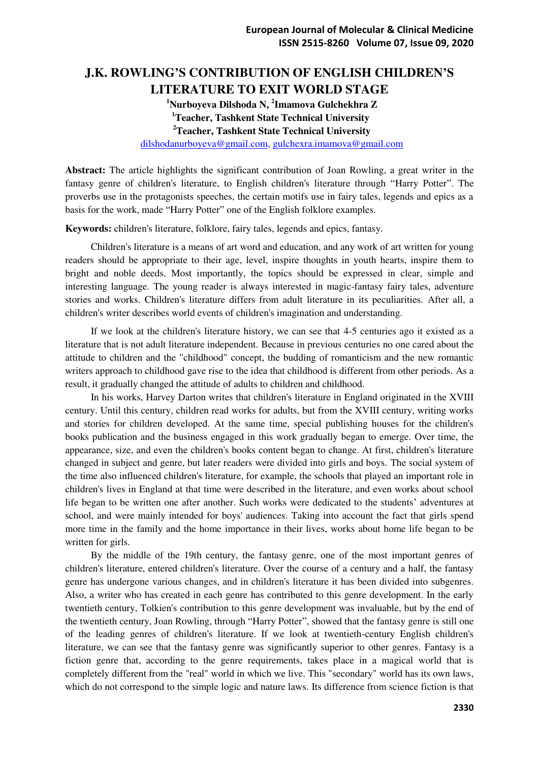## **J.K. ROWLING'S CONTRIBUTION OF ENGLISH CHILDREN'S LITERATURE TO EXIT WORLD STAGE**

**Nurboyeva Dilshoda N, <sup>2</sup> Imamova Gulchekhra Z Teacher, Tashkent State Technical University Teacher, Tashkent State Technical University**  [dilshodanurboyeva@gmail.com,](mailto:dilshodanurboyeva@gmail.com) [gulchexra.imamova@gmail.com](mailto:gulchexra.imamova@gmail.com)

**Abstract:** The article highlights the significant contribution of Joan Rowling, a great writer in the fantasy genre of children's literature, to English children's literature through "Harry Potter". The proverbs use in the protagonists speeches, the certain motifs use in fairy tales, legends and epics as a basis for the work, made "Harry Potter" one of the English folklore examples.

**Keywords:** children's literature, folklore, fairy tales, legends and epics, fantasy.

Children's literature is a means of art word and education, and any work of art written for young readers should be appropriate to their age, level, inspire thoughts in youth hearts, inspire them to bright and noble deeds. Most importantly, the topics should be expressed in clear, simple and interesting language. The young reader is always interested in magic-fantasy fairy tales, adventure stories and works. Children's literature differs from adult literature in its peculiarities. After all, a children's writer describes world events of children's imagination and understanding.

If we look at the children's literature history, we can see that 4-5 centuries ago it existed as a literature that is not adult literature independent. Because in previous centuries no one cared about the attitude to children and the "childhood" concept, the budding of romanticism and the new romantic writers approach to childhood gave rise to the idea that childhood is different from other periods. As a result, it gradually changed the attitude of adults to children and childhood.

In his works, Harvey Darton writes that children's literature in England originated in the XVIII century. Until this century, children read works for adults, but from the XVIII century, writing works and stories for children developed. At the same time, special publishing houses for the children's books publication and the business engaged in this work gradually began to emerge. Over time, the appearance, size, and even the children's books content began to change. At first, children's literature changed in subject and genre, but later readers were divided into girls and boys. The social system of the time also influenced children's literature, for example, the schools that played an important role in children's lives in England at that time were described in the literature, and even works about school life began to be written one after another. Such works were dedicated to the students' adventures at school, and were mainly intended for boys' audiences. Taking into account the fact that girls spend more time in the family and the home importance in their lives, works about home life began to be written for girls.

By the middle of the 19th century, the fantasy genre, one of the most important genres of children's literature, entered children's literature. Over the course of a century and a half, the fantasy genre has undergone various changes, and in children's literature it has been divided into subgenres. Also, a writer who has created in each genre has contributed to this genre development. In the early twentieth century, Tolkien's contribution to this genre development was invaluable, but by the end of the twentieth century, Joan Rowling, through "Harry Potter", showed that the fantasy genre is still one of the leading genres of children's literature. If we look at twentieth-century English children's literature, we can see that the fantasy genre was significantly superior to other genres. Fantasy is a fiction genre that, according to the genre requirements, takes place in a magical world that is completely different from the "real" world in which we live. This "secondary" world has its own laws, which do not correspond to the simple logic and nature laws. Its difference from science fiction is that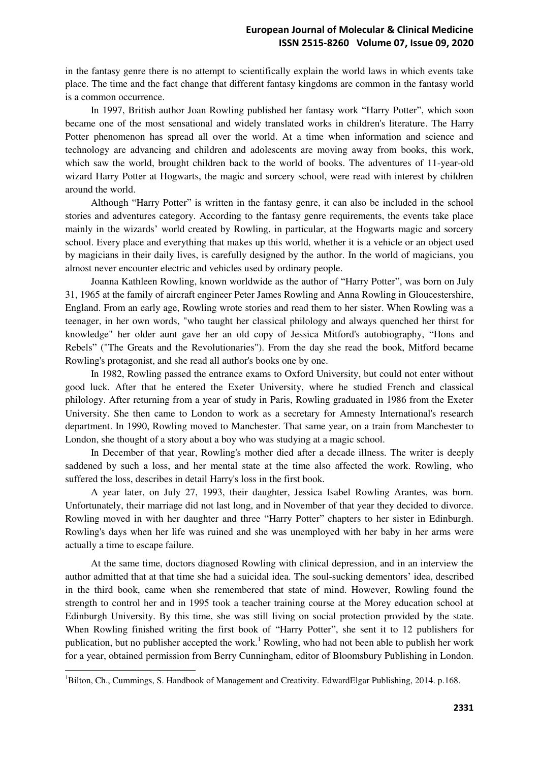in the fantasy genre there is no attempt to scientifically explain the world laws in which events take place. The time and the fact change that different fantasy kingdoms are common in the fantasy world is a common occurrence.

In 1997, British author Joan Rowling published her fantasy work "Harry Potter", which soon became one of the most sensational and widely translated works in children's literature. The Harry Potter phenomenon has spread all over the world. At a time when information and science and technology are advancing and children and adolescents are moving away from books, this work, which saw the world, brought children back to the world of books. The adventures of 11-year-old wizard Harry Potter at Hogwarts, the magic and sorcery school, were read with interest by children around the world.

Although "Harry Potter" is written in the fantasy genre, it can also be included in the school stories and adventures category. According to the fantasy genre requirements, the events take place mainly in the wizards' world created by Rowling, in particular, at the Hogwarts magic and sorcery school. Every place and everything that makes up this world, whether it is a vehicle or an object used by magicians in their daily lives, is carefully designed by the author. In the world of magicians, you almost never encounter electric and vehicles used by ordinary people.

Joanna Kathleen Rowling, known worldwide as the author of "Harry Potter", was born on July 31, 1965 at the family of aircraft engineer Peter James Rowling and Anna Rowling in Gloucestershire, England. From an early age, Rowling wrote stories and read them to her sister. When Rowling was a teenager, in her own words, "who taught her classical philology and always quenched her thirst for knowledge" her older aunt gave her an old copy of Jessica Mitford's autobiography, "Hons and Rebels" ("The Greats and the Revolutionaries"). From the day she read the book, Mitford became Rowling's protagonist, and she read all author's books one by one.

In 1982, Rowling passed the entrance exams to Oxford University, but could not enter without good luck. After that he entered the Exeter University, where he studied French and classical philology. After returning from a year of study in Paris, Rowling graduated in 1986 from the Exeter University. She then came to London to work as a secretary for Amnesty International's research department. In 1990, Rowling moved to Manchester. That same year, on a train from Manchester to London, she thought of a story about a boy who was studying at a magic school.

In December of that year, Rowling's mother died after a decade illness. The writer is deeply saddened by such a loss, and her mental state at the time also affected the work. Rowling, who suffered the loss, describes in detail Harry's loss in the first book.

A year later, on July 27, 1993, their daughter, Jessica Isabel Rowling Arantes, was born. Unfortunately, their marriage did not last long, and in November of that year they decided to divorce. Rowling moved in with her daughter and three "Harry Potter" chapters to her sister in Edinburgh. Rowling's days when her life was ruined and she was unemployed with her baby in her arms were actually a time to escape failure.

At the same time, doctors diagnosed Rowling with clinical depression, and in an interview the author admitted that at that time she had a suicidal idea. The soul-sucking dementors' idea, described in the third book, came when she remembered that state of mind. However, Rowling found the strength to control her and in 1995 took a teacher training course at the Morey education school at Edinburgh University. By this time, she was still living on social protection provided by the state. When Rowling finished writing the first book of "Harry Potter", she sent it to 12 publishers for publication, but no publisher accepted the work.<sup>1</sup> Rowling, who had not been able to publish her work for a year, obtained permission from Berry Cunningham, editor of Bloomsbury Publishing in London.

 $\overline{a}$ 

<sup>1</sup>Bilton, Ch., Cummings, S. Handbook of Management and Creativity. EdwardElgar Publishing, 2014. p.168.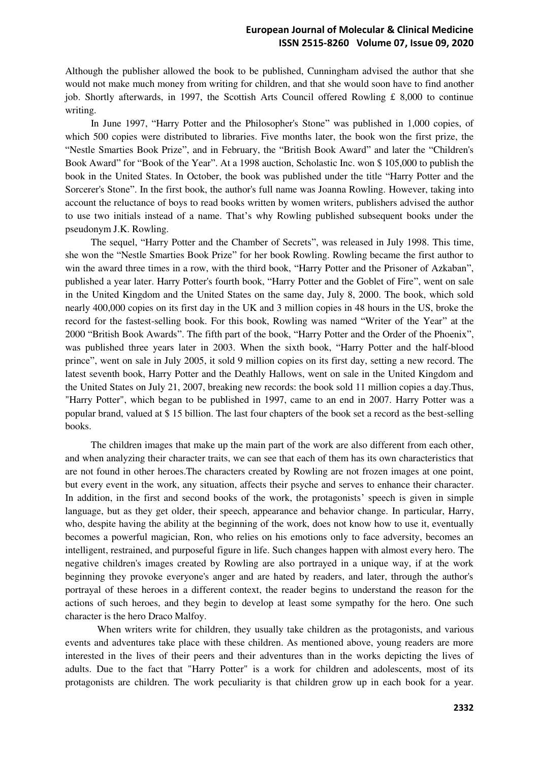Although the publisher allowed the book to be published, Cunningham advised the author that she would not make much money from writing for children, and that she would soon have to find another job. Shortly afterwards, in 1997, the Scottish Arts Council offered Rowling £ 8,000 to continue writing.

In June 1997, "Harry Potter and the Philosopher's Stone" was published in 1,000 copies, of which 500 copies were distributed to libraries. Five months later, the book won the first prize, the "Nestle Smarties Book Prize", and in February, the "British Book Award" and later the "Children's Book Award" for "Book of the Year". At a 1998 auction, Scholastic Inc. won \$ 105,000 to publish the book in the United States. In October, the book was published under the title "Harry Potter and the Sorcerer's Stone". In the first book, the author's full name was Joanna Rowling. However, taking into account the reluctance of boys to read books written by women writers, publishers advised the author to use two initials instead of a name. That's why Rowling published subsequent books under the pseudonym J.K. Rowling.

The sequel, "Harry Potter and the Chamber of Secrets", was released in July 1998. This time, she won the "Nestle Smarties Book Prize" for her book Rowling. Rowling became the first author to win the award three times in a row, with the third book, "Harry Potter and the Prisoner of Azkaban", published a year later. Harry Potter's fourth book, "Harry Potter and the Goblet of Fire", went on sale in the United Kingdom and the United States on the same day, July 8, 2000. The book, which sold nearly 400,000 copies on its first day in the UK and 3 million copies in 48 hours in the US, broke the record for the fastest-selling book. For this book, Rowling was named "Writer of the Year" at the 2000 "British Book Awards". The fifth part of the book, "Harry Potter and the Order of the Phoenix", was published three years later in 2003. When the sixth book, "Harry Potter and the half-blood prince", went on sale in July 2005, it sold 9 million copies on its first day, setting a new record. The latest seventh book, Harry Potter and the Deathly Hallows, went on sale in the United Kingdom and the United States on July 21, 2007, breaking new records: the book sold 11 million copies a day.Thus, "Harry Potter", which began to be published in 1997, came to an end in 2007. Harry Potter was a popular brand, valued at \$ 15 billion. The last four chapters of the book set a record as the best-selling books.

The children images that make up the main part of the work are also different from each other, and when analyzing their character traits, we can see that each of them has its own characteristics that are not found in other heroes.The characters created by Rowling are not frozen images at one point, but every event in the work, any situation, affects their psyche and serves to enhance their character. In addition, in the first and second books of the work, the protagonists' speech is given in simple language, but as they get older, their speech, appearance and behavior change. In particular, Harry, who, despite having the ability at the beginning of the work, does not know how to use it, eventually becomes a powerful magician, Ron, who relies on his emotions only to face adversity, becomes an intelligent, restrained, and purposeful figure in life. Such changes happen with almost every hero. The negative children's images created by Rowling are also portrayed in a unique way, if at the work beginning they provoke everyone's anger and are hated by readers, and later, through the author's portrayal of these heroes in a different context, the reader begins to understand the reason for the actions of such heroes, and they begin to develop at least some sympathy for the hero. One such character is the hero Draco Malfoy.

When writers write for children, they usually take children as the protagonists, and various events and adventures take place with these children. As mentioned above, young readers are more interested in the lives of their peers and their adventures than in the works depicting the lives of adults. Due to the fact that "Harry Potter" is a work for children and adolescents, most of its protagonists are children. The work peculiarity is that children grow up in each book for a year.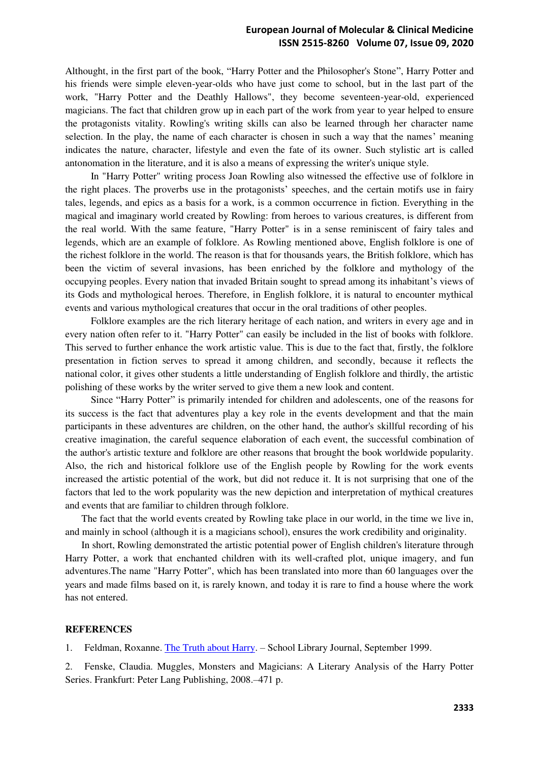## **European Journal of Molecular & Clinical Medicine ISSN 2515-8260 Volume 07, Issue 09, 2020**

Althought, in the first part of the book, "Harry Potter and the Philosopher's Stone", Harry Potter and his friends were simple eleven-year-olds who have just come to school, but in the last part of the work, "Harry Potter and the Deathly Hallows", they become seventeen-year-old, experienced magicians. The fact that children grow up in each part of the work from year to year helped to ensure the protagonists vitality. Rowling's writing skills can also be learned through her character name selection. In the play, the name of each character is chosen in such a way that the names' meaning indicates the nature, character, lifestyle and even the fate of its owner. Such stylistic art is called antonomation in the literature, and it is also a means of expressing the writer's unique style.

In "Harry Potter" writing process Joan Rowling also witnessed the effective use of folklore in the right places. The proverbs use in the protagonists' speeches, and the certain motifs use in fairy tales, legends, and epics as a basis for a work, is a common occurrence in fiction. Everything in the magical and imaginary world created by Rowling: from heroes to various creatures, is different from the real world. With the same feature, "Harry Potter" is in a sense reminiscent of fairy tales and legends, which are an example of folklore. As Rowling mentioned above, English folklore is one of the richest folklore in the world. The reason is that for thousands years, the British folklore, which has been the victim of several invasions, has been enriched by the folklore and mythology of the occupying peoples. Every nation that invaded Britain sought to spread among its inhabitant's views of its Gods and mythological heroes. Therefore, in English folklore, it is natural to encounter mythical events and various mythological creatures that occur in the oral traditions of other peoples.

Folklore examples are the rich literary heritage of each nation, and writers in every age and in every nation often refer to it. "Harry Potter" can easily be included in the list of books with folklore. This served to further enhance the work artistic value. This is due to the fact that, firstly, the folklore presentation in fiction serves to spread it among children, and secondly, because it reflects the national color, it gives other students a little understanding of English folklore and thirdly, the artistic polishing of these works by the writer served to give them a new look and content.

Since "Harry Potter" is primarily intended for children and adolescents, one of the reasons for its success is the fact that adventures play a key role in the events development and that the main participants in these adventures are children, on the other hand, the author's skillful recording of his creative imagination, the careful sequence elaboration of each event, the successful combination of the author's artistic texture and folklore are other reasons that brought the book worldwide popularity. Also, the rich and historical folklore use of the English people by Rowling for the work events increased the artistic potential of the work, but did not reduce it. It is not surprising that one of the factors that led to the work popularity was the new depiction and interpretation of mythical creatures and events that are familiar to children through folklore.

The fact that the world events created by Rowling take place in our world, in the time we live in, and mainly in school (although it is a magicians school), ensures the work credibility and originality.

In short, Rowling demonstrated the artistic potential power of English children's literature through Harry Potter, a work that enchanted children with its well-crafted plot, unique imagery, and fun adventures.The name "Harry Potter", which has been translated into more than 60 languages over the years and made films based on it, is rarely known, and today it is rare to find a house where the work has not entered.

## **REFERENCES**

1. Feldman, Roxanne. [The Truth about Harry.](http://www.accio-quote.org/articles/1999/0999-slj-feldman.htm) – School Library Journal, September 1999.

2. Fenske, Claudia. Muggles, Monsters and Magicians: A Literary Analysis of the Harry Potter Series. Frankfurt: Peter Lang Publishing, 2008.–471 p.